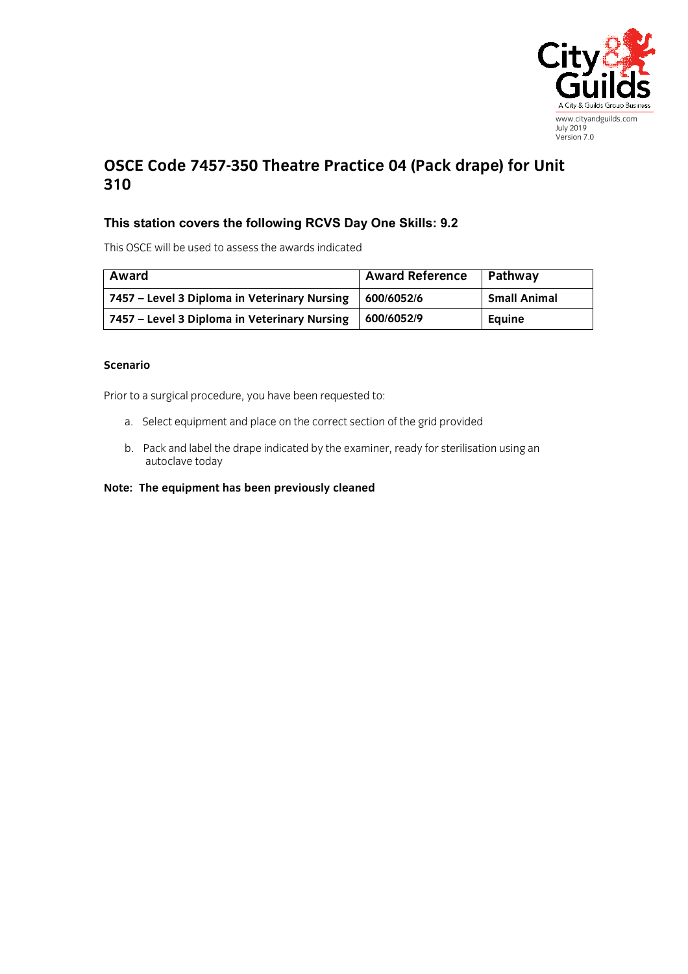

## **OSCE Code 7457-350 Theatre Practice 04 (Pack drape) for Unit 310**

## **This station covers the following RCVS Day One Skills: 9.2**

This OSCE will be used to assess the awards indicated

| Award                                        | <b>Award Reference</b> | Pathway             |
|----------------------------------------------|------------------------|---------------------|
| 7457 – Level 3 Diploma in Veterinary Nursing | 600/6052/6             | <b>Small Animal</b> |
| 7457 – Level 3 Diploma in Veterinary Nursing | 600/6052/9             | Equine              |

## **Scenario**

Prior to a surgical procedure, you have been requested to:

- a. Select equipment and place on the correct section of the grid provided
- b. Pack and label the drape indicated by the examiner, ready for sterilisation using an autoclave today

## **Note: The equipment has been previously cleaned**